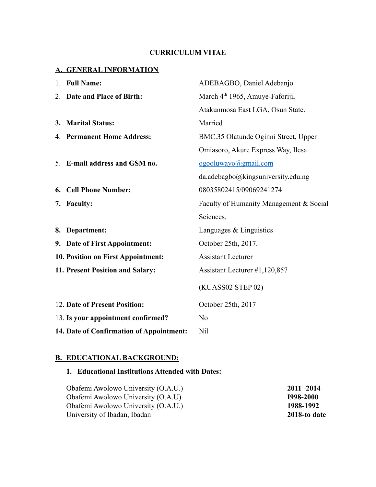## **CURRICULUM VITAE**

## **A. GENERAL INFORMATION**

|    | 1. Full Name:                            | ADEBAGBO, Daniel Adebanjo                   |  |
|----|------------------------------------------|---------------------------------------------|--|
|    | 2. Date and Place of Birth:              | March 4 <sup>th</sup> 1965, Amuye-Faforiji, |  |
|    |                                          | Atakunmosa East LGA, Osun State.            |  |
|    | 3. Marital Status:                       | Married                                     |  |
|    | 4. Permanent Home Address:               | BMC.35 Olatunde Oginni Street, Upper        |  |
|    |                                          | Omiasoro, Akure Express Way, Ilesa          |  |
|    | 5. E-mail address and GSM no.            | ogooluwayo@gmail.com                        |  |
|    |                                          | da.adebagbo@kingsuniversity.edu.ng          |  |
| 6. | <b>Cell Phone Number:</b>                | 08035802415/09069241274                     |  |
|    | 7. Faculty:                              | Faculty of Humanity Management & Social     |  |
|    |                                          | Sciences.                                   |  |
|    | 8. Department:                           | Languages $&$ Linguistics                   |  |
|    | 9. Date of First Appointment:            | October 25th, 2017.                         |  |
|    | 10. Position on First Appointment:       | <b>Assistant Lecturer</b>                   |  |
|    | 11. Present Position and Salary:         | Assistant Lecturer #1,120,857               |  |
|    |                                          | (KUASS02 STEP 02)                           |  |
|    | 12. Date of Present Position:            | October 25th, 2017                          |  |
|    | 13. Is your appointment confirmed?       | N <sub>0</sub>                              |  |
|    | 14. Date of Confirmation of Appointment: | Nil                                         |  |

#### **B. EDUCATIONAL BACKGROUND:**

# **1. Educational Institutions Attended with Dates:**

| Obafemi Awolowo University (O.A.U.) | 2011 - 2014      |
|-------------------------------------|------------------|
| Obafemi Awolowo University (O.A.U)  | <b>I998-2000</b> |
| Obafemi Awolowo University (O.A.U.) | 1988-1992        |
| University of Ibadan, Ibadan        | 2018-to date     |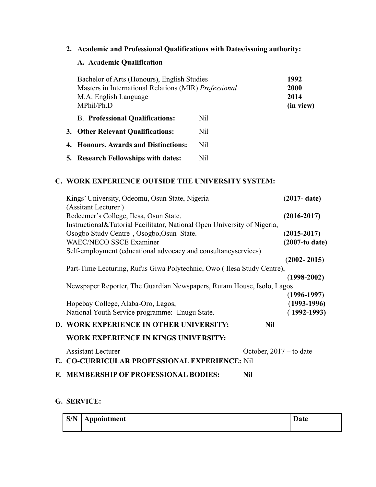**2. Academic and Professional Qualifications with Dates/issuing authority:**

# **A. Academic Qualification**

| Bachelor of Arts (Honours), English Studies<br>Masters in International Relations (MIR) Professional<br>M.A. English Language<br>MPhil/Ph.D |     | 1992<br>2000<br>2014<br>(in view) |
|---------------------------------------------------------------------------------------------------------------------------------------------|-----|-----------------------------------|
| <b>B.</b> Professional Qualifications:                                                                                                      | Nil |                                   |
| 3. Other Relevant Qualifications:                                                                                                           | Nil |                                   |
| 4. Honours, Awards and Distinctions:                                                                                                        | Nil |                                   |
| 5. Research Fellowships with dates:                                                                                                         | Nil |                                   |

## **C. WORK EXPERIENCE OUTSIDE THE UNIVERSITY SYSTEM:**

| Kings' University, Odeomu, Osun State, Nigeria                             | $(2017 - date)$           |
|----------------------------------------------------------------------------|---------------------------|
| (Assitant Lecturer)                                                        |                           |
| Redeemer's College, Ilesa, Osun State.                                     | $(2016 - 2017)$           |
| Instructional & Tutorial Facilitator, National Open University of Nigeria, |                           |
| Osogbo Study Centre, Osogbo, Osun State.                                   | $(2015 - 2017)$           |
| <b>WAEC/NECO SSCE Examiner</b>                                             | $(2007-to date)$          |
| Self-employment (educational advocacy and consultancyservices)             |                           |
|                                                                            | $(2002 - 2015)$           |
| Part-Time Lecturing, Rufus Giwa Polytechnic, Owo (Ilesa Study Centre),     |                           |
|                                                                            | $(1998-2002)$             |
| Newspaper Reporter, The Guardian Newspapers, Rutam House, Isolo, Lagos     |                           |
|                                                                            | $(1996-1997)$             |
| Hopebay College, Alaba-Oro, Lagos,                                         | $(1993-1996)$             |
| National Youth Service programme: Enugu State.                             | $(1992 - 1993)$           |
| D. WORK EXPERIENCE IN OTHER UNIVERSITY:                                    | <b>Nil</b>                |
| <b>WORK EXPERIENCE IN KINGS UNIVERSITY:</b>                                |                           |
| <b>Assistant Lecturer</b>                                                  | October, $2017 -$ to date |
| E. CO-CURRICULAR PROFESSIONAL EXPERIENCE: Nil                              |                           |
| <b>F. MEMBERSHIP OF PROFESSIONAL BODIES:</b><br><b>Nil</b>                 |                           |

## **G. SERVICE:**

| S/N | Appointment | <b>D</b><br>Date |
|-----|-------------|------------------|
|     |             |                  |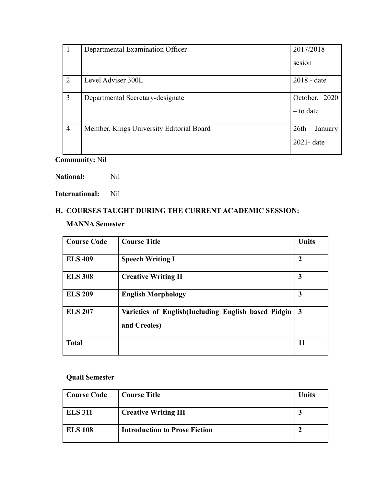| $\mathbf{I}$   | Departmental Examination Officer         | 2017/2018                                |
|----------------|------------------------------------------|------------------------------------------|
|                |                                          | sesion                                   |
| $\overline{2}$ | Level Adviser 300L                       | 2018 - date                              |
| 3              | Departmental Secretary-designate         | October. 2020<br>$-$ to date             |
| $\overline{4}$ | Member, Kings University Editorial Board | 26 <sup>th</sup><br>January<br>2021-date |

**Community:** Nil

**National:** Nil

**International:** Nil

## **H. COURSES TAUGHT DURING THE CURRENT ACADEMIC SESSION:**

## **MANNA Semester**

| <b>Course Code</b> | <b>Course Title</b>                                                 | <b>Units</b>   |
|--------------------|---------------------------------------------------------------------|----------------|
| <b>ELS 409</b>     | <b>Speech Writing I</b>                                             | $\overline{2}$ |
| <b>ELS 308</b>     | <b>Creative Writing II</b>                                          | 3              |
| <b>ELS 209</b>     | <b>English Morphology</b>                                           | 3              |
| <b>ELS 207</b>     | Varieties of English(Including English based Pidgin<br>and Creoles) | $\vert 3$      |
| <b>Total</b>       |                                                                     | 11             |

## **Quail Semester**

| Course Code    | <b>Course Title</b>                  | Units |
|----------------|--------------------------------------|-------|
| <b>ELS 311</b> | <b>Creative Writing III</b>          |       |
| <b>ELS 108</b> | <b>Introduction to Prose Fiction</b> |       |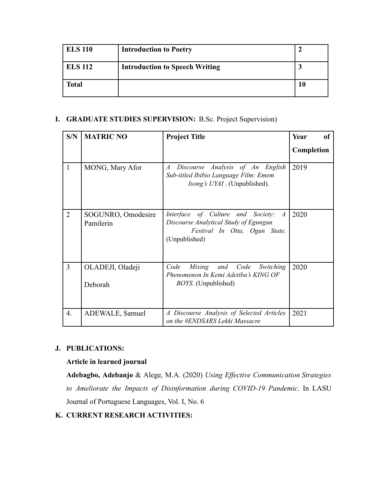| <b>ELS 110</b> | <b>Introduction to Poetry</b>         |  |
|----------------|---------------------------------------|--|
| <b>ELS 112</b> | <b>Introduction to Speech Writing</b> |  |
| <b>Total</b>   |                                       |  |

## **I. GRADUATE STUDIES SUPERVISION:** B.Sc. Project Supervision)

| S/N            | <b>MATRIC NO</b>                | <b>Project Title</b>                                                                                                                           | Year<br>of<br>Completion |
|----------------|---------------------------------|------------------------------------------------------------------------------------------------------------------------------------------------|--------------------------|
| $\mathbf{1}$   | MONG, Mary Afor                 | Discourse Analysis of An English<br>$\overline{A}$<br>Sub-titled Ibibio Language Film: Emem<br><i>Isong's UYAI</i> . (Unpublished).            | 2019                     |
| $\overline{2}$ | SOGUNRO, Omodesire<br>Pamilerin | Interface of Culture and Society:<br>$\overline{A}$<br>Discourse Analytical Study of Egungun<br>Festival In Otta, Ogun State.<br>(Unpublished) | 2020                     |
| 3              | OLADEJI, Oladeji<br>Deborah     | Mixing and Code<br>Code<br>Switching<br>Phenomenon In Kemi Adetiba's KING OF<br><i>BOYS.</i> (Unpublished)                                     | 2020                     |
| 4.             | ADEWALE, Samuel                 | A Discourse Analysis of Selected Articles<br>on the #ENDSARS Lekki Massacre                                                                    | 2021                     |

#### **J. PUBLICATIONS:**

#### **Article in learned journal**

**Adebagbo, Adebanjo** & Alege, M.A. (2020) *Using Effective Communication Strategies to Ameliorate the Impacts of Disinformation during COVID-19 Pandemic*. In LASU Journal of Portuguese Languages, Vol. I, No. 6

#### **K. CURRENT RESEARCH ACTIVITIES:**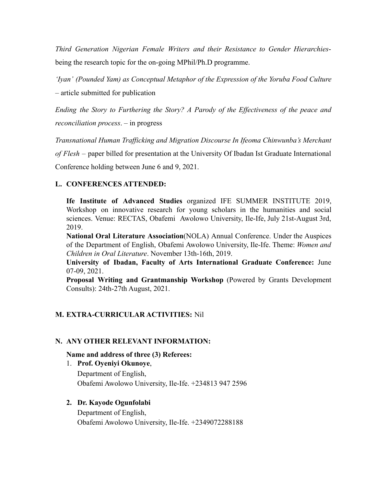*Third Generation Nigerian Female Writers and their Resistance to Gender Hierarchies*being the research topic for the on-going MPhil/Ph.D programme.

*'Iyan' (Pounded Yam) as Conceptual Metaphor of the Expression of the Yoruba Food Culture –* article submitted for publication

*Ending the Story to Furthering the Story? A Parody of the Effectiveness of the peace and reconciliation process*. – in progress

*Transnational Human Trafficking and Migration Discourse In Ifeoma Chinwunba's Merchant*

*of Flesh* – paper billed for presentation at the University Of Ibadan Ist Graduate International

Conference holding between June 6 and 9, 2021.

### **L. CONFERENCES ATTENDED:**

**Ife Institute of Advanced Studies** organized IFE SUMMER INSTITUTE 2019, Workshop on innovative research for young scholars in the humanities and social sciences. Venue: RECTAS, Obafemi Awolowo University, Ile-Ife, July 21st-August 3rd, 2019.

**National Oral Literature Association**(NOLA) Annual Conference. Under the Auspices of the Department of English, Obafemi Awolowo University, Ile-Ife. Theme: *Women and Children in Oral Literature*. November 13th-16th, 2019.

**University of Ibadan, Faculty of Arts International Graduate Conference:** June 07-09, 2021.

**Proposal Writing and Grantmanship Workshop** (Powered by Grants Development Consults): 24th-27th August, 2021.

## **M. EXTRA-CURRICULAR ACTIVITIES:** Nil

#### **N. ANY OTHER RELEVANT INFORMATION:**

#### **Name and address of three (3) Referees:**

1. **Prof. Oyeniyi Okunoye**, Department of English, Obafemi Awolowo University, Ile-Ife. +234813 947 2596

#### **2. Dr. Kayode Ogunfolabi**

Department of English, Obafemi Awolowo University, Ile-Ife. +2349072288188